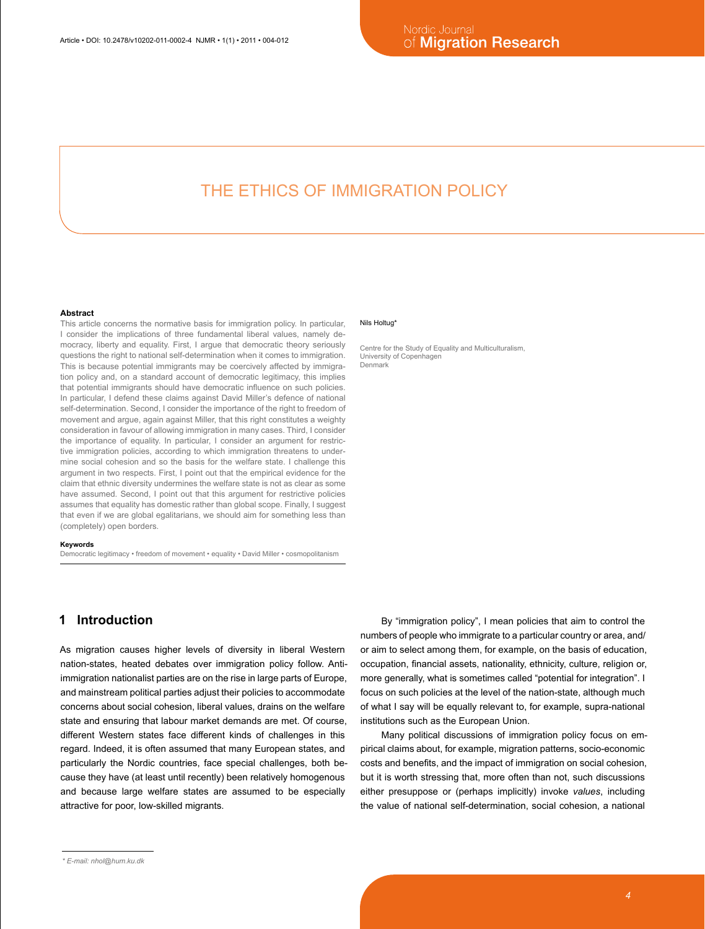# THE ETHICS OF IMMIGRATION POLICY

#### **Abstract**

This article concerns the normative basis for immigration policy. In particular, I consider the implications of three fundamental liberal values, namely democracy, liberty and equality. First, I argue that democratic theory seriously questions the right to national self-determination when it comes to immigration. This is because potential immigrants may be coercively affected by immigration policy and, on a standard account of democratic legitimacy, this implies that potential immigrants should have democratic influence on such policies. In particular, I defend these claims against David Miller's defence of national self-determination. Second, I consider the importance of the right to freedom of movement and argue, again against Miller, that this right constitutes a weighty consideration in favour of allowing immigration in many cases. Third, I consider the importance of equality. In particular, I consider an argument for restrictive immigration policies, according to which immigration threatens to undermine social cohesion and so the basis for the welfare state. I challenge this argument in two respects. First, I point out that the empirical evidence for the claim that ethnic diversity undermines the welfare state is not as clear as some have assumed. Second, I point out that this argument for restrictive policies assumes that equality has domestic rather than global scope. Finally, I suggest that even if we are global egalitarians, we should aim for something less than (completely) open borders.

#### **Keywords**

Democratic legitimacy • freedom of movement • equality • David Miller • cosmopolitanism

# **1 Introduction**

As migration causes higher levels of diversity in liberal Western nation-states, heated debates over immigration policy follow. Antiimmigration nationalist parties are on the rise in large parts of Europe, and mainstream political parties adjust their policies to accommodate concerns about social cohesion, liberal values, drains on the welfare state and ensuring that labour market demands are met. Of course, different Western states face different kinds of challenges in this regard. Indeed, it is often assumed that many European states, and particularly the Nordic countries, face special challenges, both because they have (at least until recently) been relatively homogenous and because large welfare states are assumed to be especially attractive for poor, low-skilled migrants.

#### Nils Holtug<sup>\*</sup>

Centre for the Study of Equality and Multiculturalism, University of Copenhagen **Denmark** 

By "immigration policy", I mean policies that aim to control the numbers of people who immigrate to a particular country or area, and/ or aim to select among them, for example, on the basis of education, occupation, financial assets, nationality, ethnicity, culture, religion or, more generally, what is sometimes called "potential for integration". I focus on such policies at the level of the nation-state, although much of what I say will be equally relevant to, for example, supra-national institutions such as the European Union.

Many political discussions of immigration policy focus on empirical claims about, for example, migration patterns, socio-economic costs and benefits, and the impact of immigration on social cohesion, but it is worth stressing that, more often than not, such discussions either presuppose or (perhaps implicitly) invoke *values*, including the value of national self-determination, social cohesion, a national

*<sup>\*</sup> E-mail: nhol@hum.ku.dk*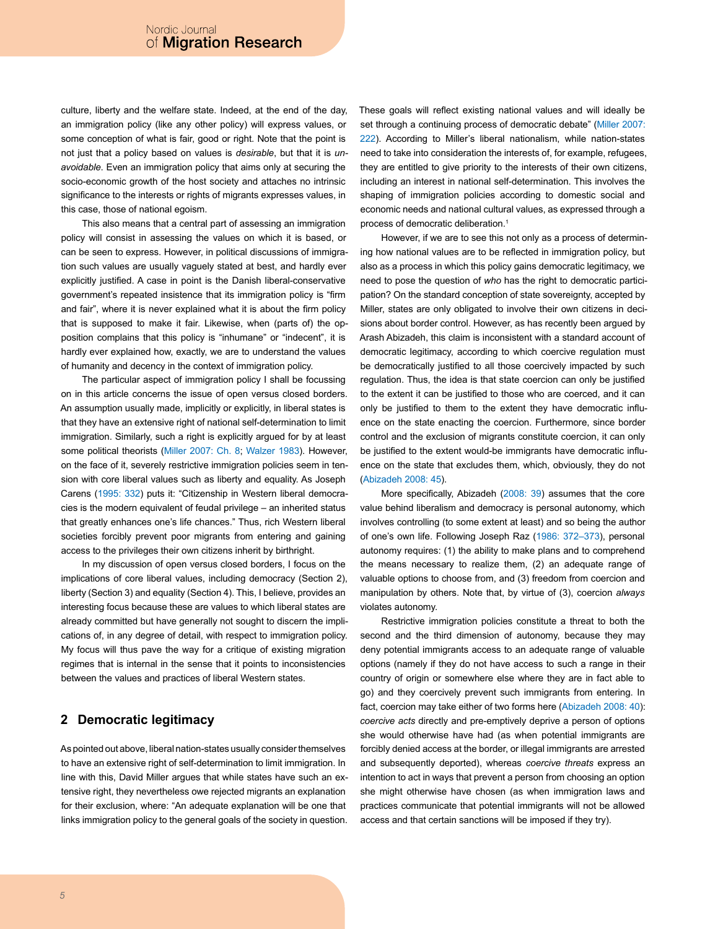culture, liberty and the welfare state. Indeed, at the end of the day, an immigration policy (like any other policy) will express values, or some conception of what is fair, good or right. Note that the point is not just that a policy based on values is *desirable*, but that it is *unavoidable*. Even an immigration policy that aims only at securing the socio-economic growth of the host society and attaches no intrinsic significance to the interests or rights of migrants expresses values, in this case, those of national egoism.

This also means that a central part of assessing an immigration policy will consist in assessing the values on which it is based, or can be seen to express. However, in political discussions of immigration such values are usually vaguely stated at best, and hardly ever explicitly justified. A case in point is the Danish liberal-conservative government's repeated insistence that its immigration policy is "firm and fair", where it is never explained what it is about the firm policy that is supposed to make it fair. Likewise, when (parts of) the opposition complains that this policy is "inhumane" or "indecent", it is hardly ever explained how, exactly, we are to understand the values of humanity and decency in the context of immigration policy.

The particular aspect of immigration policy I shall be focussing on in this article concerns the issue of open versus closed borders. An assumption usually made, implicitly or explicitly, in liberal states is that they have an extensive right of national self-determination to limit immigration. Similarly, such a right is explicitly argued for by at least some political theorists ([Miller 2007: Ch. 8](#page-8-0); [Walzer 1983\)](#page-8-1). However, on the face of it, severely restrictive immigration policies seem in tension with core liberal values such as liberty and equality. As Joseph Carens ([1995: 332\)](#page-8-2) puts it: "Citizenship in Western liberal democracies is the modern equivalent of feudal privilege – an inherited status that greatly enhances one's life chances." Thus, rich Western liberal societies forcibly prevent poor migrants from entering and gaining access to the privileges their own citizens inherit by birthright.

In my discussion of open versus closed borders, I focus on the implications of core liberal values, including democracy (Section 2), liberty (Section 3) and equality (Section 4). This, I believe, provides an interesting focus because these are values to which liberal states are already committed but have generally not sought to discern the implications of, in any degree of detail, with respect to immigration policy. My focus will thus pave the way for a critique of existing migration regimes that is internal in the sense that it points to inconsistencies between the values and practices of liberal Western states.

# **2 Democratic legitimacy**

As pointed out above, liberal nation-states usually consider themselves to have an extensive right of self-determination to limit immigration. In line with this, David Miller argues that while states have such an extensive right, they nevertheless owe rejected migrants an explanation for their exclusion, where: "An adequate explanation will be one that links immigration policy to the general goals of the society in question. These goals will reflect existing national values and will ideally be set through a continuing process of democratic debate" [\(Miller 2007:](#page-8-0)  [222](#page-8-0)). According to Miller's liberal nationalism, while nation-states need to take into consideration the interests of, for example, refugees, they are entitled to give priority to the interests of their own citizens, including an interest in national self-determination. This involves the shaping of immigration policies according to domestic social and economic needs and national cultural values, as expressed through a process of democratic deliberation[.1](#page-7-0)

However, if we are to see this not only as a process of determining how national values are to be reflected in immigration policy, but also as a process in which this policy gains democratic legitimacy, we need to pose the question of *who* has the right to democratic participation? On the standard conception of state sovereignty, accepted by Miller, states are only obligated to involve their own citizens in decisions about border control. However, as has recently been argued by Arash Abizadeh, this claim is inconsistent with a standard account of democratic legitimacy, according to which coercive regulation must be democratically justified to all those coercively impacted by such regulation. Thus, the idea is that state coercion can only be justified to the extent it can be justified to those who are coerced, and it can only be justified to them to the extent they have democratic influence on the state enacting the coercion. Furthermore, since border control and the exclusion of migrants constitute coercion, it can only be justified to the extent would-be immigrants have democratic influence on the state that excludes them, which, obviously, they do not ([Abizadeh 2008: 45\)](#page-7-1).

More specifically, Abizadeh [\(2008: 39](#page-7-1)) assumes that the core value behind liberalism and democracy is personal autonomy, which involves controlling (to some extent at least) and so being the author of one's own life. Following Joseph Raz [\(1986: 372–373\)](#page-8-3), personal autonomy requires: (1) the ability to make plans and to comprehend the means necessary to realize them, (2) an adequate range of valuable options to choose from, and (3) freedom from coercion and manipulation by others. Note that, by virtue of (3), coercion *always* violates autonomy.

Restrictive immigration policies constitute a threat to both the second and the third dimension of autonomy, because they may deny potential immigrants access to an adequate range of valuable options (namely if they do not have access to such a range in their country of origin or somewhere else where they are in fact able to go) and they coercively prevent such immigrants from entering. In fact, coercion may take either of two forms here ([Abizadeh 2008: 40\)](#page-7-1): *coercive acts* directly and pre-emptively deprive a person of options she would otherwise have had (as when potential immigrants are forcibly denied access at the border, or illegal immigrants are arrested and subsequently deported), whereas *coercive threats* express an intention to act in ways that prevent a person from choosing an option she might otherwise have chosen (as when immigration laws and practices communicate that potential immigrants will not be allowed access and that certain sanctions will be imposed if they try).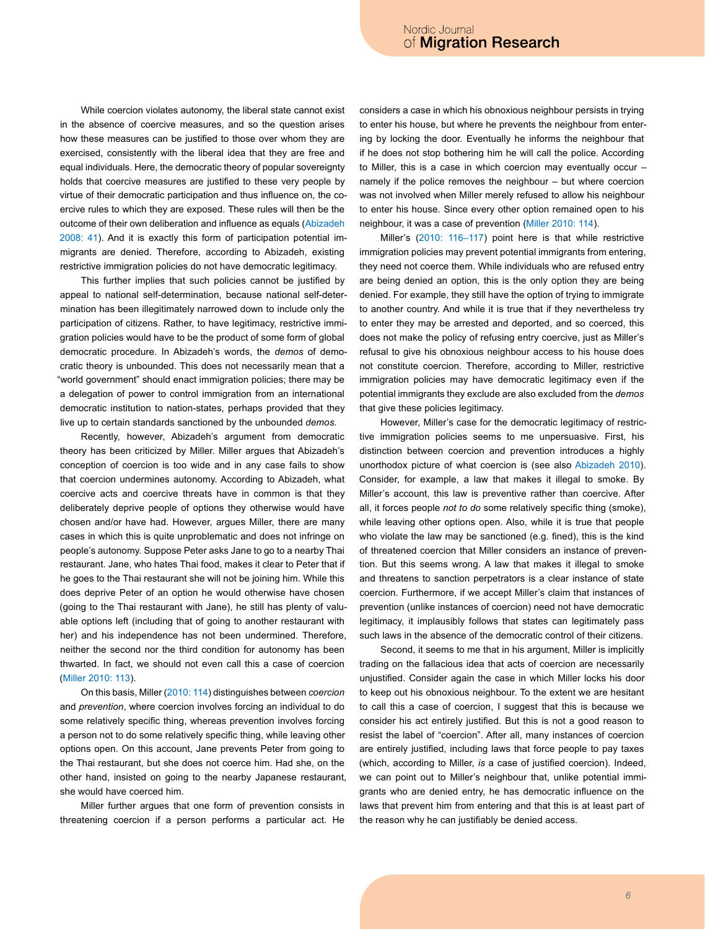While coercion violates autonomy, the liberal state cannot exist in the absence of coercive measures, and so the question arises how these measures can be justified to those over whom they are exercised, consistently with the liberal idea that they are free and equal individuals. Here, the democratic theory of popular sovereignty holds that coercive measures are justified to these very people by virtue of their democratic participation and thus influence on, the coercive rules to which they are exposed. These rules will then be the outcome of their own deliberation and influence as equals ([Abizadeh](#page-7-1)  [2008: 41\)](#page-7-1). And it is exactly this form of participation potential immigrants are denied. Therefore, according to Abizadeh, existing restrictive immigration policies do not have democratic legitimacy.

This further implies that such policies cannot be justified by appeal to national self-determination, because national self-determination has been illegitimately narrowed down to include only the participation of citizens. Rather, to have legitimacy, restrictive immigration policies would have to be the product of some form of global democratic procedure. In Abizadeh's words, the *demos* of democratic theory is unbounded. This does not necessarily mean that a "world government" should enact immigration policies; there may be a delegation of power to control immigration from an international democratic institution to nation-states, perhaps provided that they live up to certain standards sanctioned by the unbounded *demos*.

Recently, however, Abizadeh's argument from democratic theory has been criticized by Miller. Miller argues that Abizadeh's conception of coercion is too wide and in any case fails to show that coercion undermines autonomy. According to Abizadeh, what coercive acts and coercive threats have in common is that they deliberately deprive people of options they otherwise would have chosen and/or have had. However, argues Miller, there are many cases in which this is quite unproblematic and does not infringe on people's autonomy. Suppose Peter asks Jane to go to a nearby Thai restaurant. Jane, who hates Thai food, makes it clear to Peter that if he goes to the Thai restaurant she will not be joining him. While this does deprive Peter of an option he would otherwise have chosen (going to the Thai restaurant with Jane), he still has plenty of valuable options left (including that of going to another restaurant with her) and his independence has not been undermined. Therefore, neither the second nor the third condition for autonomy has been thwarted. In fact, we should not even call this a case of coercion [\(Miller 2010:](#page-8-0) 113).

On this basis, Miller [\(2010: 114\)](#page-8-0) distinguishes between *coercion* and *prevention*, where coercion involves forcing an individual to do some relatively specific thing, whereas prevention involves forcing a person not to do some relatively specific thing, while leaving other options open. On this account, Jane prevents Peter from going to the Thai restaurant, but she does not coerce him. Had she, on the other hand, insisted on going to the nearby Japanese restaurant, she would have coerced him.

Miller further argues that one form of prevention consists in threatening coercion if a person performs a particular act. He

considers a case in which his obnoxious neighbour persists in trying to enter his house, but where he prevents the neighbour from entering by locking the door. Eventually he informs the neighbour that if he does not stop bothering him he will call the police. According to Miller, this is a case in which coercion may eventually occur – namely if the police removes the neighbour – but where coercion was not involved when Miller merely refused to allow his neighbour to enter his house. Since every other option remained open to his neighbour, it was a case of prevention ([Miller 2010: 114\)](#page-8-0).

Miller's ([2010: 116–117\)](#page-8-0) point here is that while restrictive immigration policies may prevent potential immigrants from entering, they need not coerce them. While individuals who are refused entry are being denied an option, this is the only option they are being denied. For example, they still have the option of trying to immigrate to another country. And while it is true that if they nevertheless try to enter they may be arrested and deported, and so coerced, this does not make the policy of refusing entry coercive, just as Miller's refusal to give his obnoxious neighbour access to his house does not constitute coercion. Therefore, according to Miller, restrictive immigration policies may have democratic legitimacy even if the potential immigrants they exclude are also excluded from the *demos* that give these policies legitimacy.

However, Miller's case for the democratic legitimacy of restrictive immigration policies seems to me unpersuasive. First, his distinction between coercion and prevention introduces a highly unorthodox picture of what coercion is (see also [Abizadeh 2010\)](#page-7-1). Consider, for example, a law that makes it illegal to smoke. By Miller's account, this law is preventive rather than coercive. After all, it forces people *not to do* some relatively specific thing (smoke), while leaving other options open. Also, while it is true that people who violate the law may be sanctioned (e.g. fined), this is the kind of threatened coercion that Miller considers an instance of prevention. But this seems wrong. A law that makes it illegal to smoke and threatens to sanction perpetrators is a clear instance of state coercion. Furthermore, if we accept Miller's claim that instances of prevention (unlike instances of coercion) need not have democratic legitimacy, it implausibly follows that states can legitimately pass such laws in the absence of the democratic control of their citizens.

Second, it seems to me that in his argument, Miller is implicitly trading on the fallacious idea that acts of coercion are necessarily unjustified. Consider again the case in which Miller locks his door to keep out his obnoxious neighbour. To the extent we are hesitant to call this a case of coercion, I suggest that this is because we consider his act entirely justified. But this is not a good reason to resist the label of "coercion". After all, many instances of coercion are entirely justified, including laws that force people to pay taxes (which, according to Miller, *is* a case of justified coercion). Indeed, we can point out to Miller's neighbour that, unlike potential immigrants who are denied entry, he has democratic influence on the laws that prevent him from entering and that this is at least part of the reason why he can justifiably be denied access.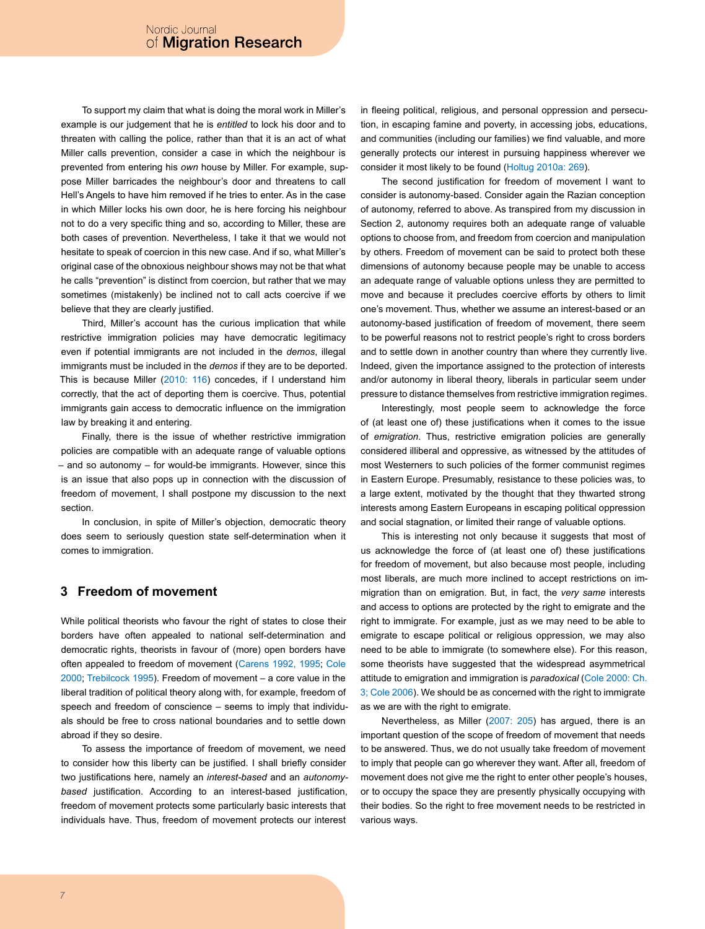To support my claim that what is doing the moral work in Miller's example is our judgement that he is *entitled* to lock his door and to threaten with calling the police, rather than that it is an act of what Miller calls prevention, consider a case in which the neighbour is prevented from entering his *own* house by Miller. For example, suppose Miller barricades the neighbour's door and threatens to call Hell's Angels to have him removed if he tries to enter. As in the case in which Miller locks his own door, he is here forcing his neighbour not to do a very specific thing and so, according to Miller, these are both cases of prevention. Nevertheless, I take it that we would not hesitate to speak of coercion in this new case. And if so, what Miller's original case of the obnoxious neighbour shows may not be that what he calls "prevention" is distinct from coercion, but rather that we may sometimes (mistakenly) be inclined not to call acts coercive if we believe that they are clearly justified.

Third, Miller's account has the curious implication that while restrictive immigration policies may have democratic legitimacy even if potential immigrants are not included in the *demos*, illegal immigrants must be included in the *demos* if they are to be deported. This is because Miller [\(2010: 116](#page-8-0)) concedes, if I understand him correctly, that the act of deporting them is coercive. Thus, potential immigrants gain access to democratic influence on the immigration law by breaking it and entering.

Finally, there is the issue of whether restrictive immigration policies are compatible with an adequate range of valuable options – and so autonomy – for would-be immigrants. However, since this is an issue that also pops up in connection with the discussion of freedom of movement, I shall postpone my discussion to the next section.

In conclusion, in spite of Miller's objection, democratic theory does seem to seriously question state self-determination when it comes to immigration.

# **3 Freedom of movement**

While political theorists who favour the right of states to close their borders have often appealed to national self-determination and democratic rights, theorists in favour of (more) open borders have often appealed to freedom of movement ([Carens 1992, 1995](#page-8-2); [Cole](#page-8-4) [2000](#page-8-4); [Trebilcock 1995\)](#page-8-5). Freedom of movement – a core value in the liberal tradition of political theory along with, for example, freedom of speech and freedom of conscience – seems to imply that individuals should be free to cross national boundaries and to settle down abroad if they so desire.

To assess the importance of freedom of movement, we need to consider how this liberty can be justified. I shall briefly consider two justifications here, namely an *interest-based* and an *autonomybased* justification. According to an interest-based justification, freedom of movement protects some particularly basic interests that individuals have. Thus, freedom of movement protects our interest

in fleeing political, religious, and personal oppression and persecution, in escaping famine and poverty, in accessing jobs, educations, and communities (including our families) we find valuable, and more generally protects our interest in pursuing happiness wherever we consider it most likely to be found [\(Holtug 2010a: 269\)](#page-8-6).

The second justification for freedom of movement I want to consider is autonomy-based. Consider again the Razian conception of autonomy, referred to above. As transpired from my discussion in Section 2, autonomy requires both an adequate range of valuable options to choose from, and freedom from coercion and manipulation by others. Freedom of movement can be said to protect both these dimensions of autonomy because people may be unable to access an adequate range of valuable options unless they are permitted to move and because it precludes coercive efforts by others to limit one's movement. Thus, whether we assume an interest-based or an autonomy-based justification of freedom of movement, there seem to be powerful reasons not to restrict people's right to cross borders and to settle down in another country than where they currently live. Indeed, given the importance assigned to the protection of interests and/or autonomy in liberal theory, liberals in particular seem under pressure to distance themselves from restrictive immigration regimes.

Interestingly, most people seem to acknowledge the force of (at least one of) these justifications when it comes to the issue of *emigration*. Thus, restrictive emigration policies are generally considered illiberal and oppressive, as witnessed by the attitudes of most Westerners to such policies of the former communist regimes in Eastern Europe. Presumably, resistance to these policies was, to a large extent, motivated by the thought that they thwarted strong interests among Eastern Europeans in escaping political oppression and social stagnation, or limited their range of valuable options.

This is interesting not only because it suggests that most of us acknowledge the force of (at least one of) these justifications for freedom of movement, but also because most people, including most liberals, are much more inclined to accept restrictions on immigration than on emigration. But, in fact, the *very same* interests and access to options are protected by the right to emigrate and the right to immigrate. For example, just as we may need to be able to emigrate to escape political or religious oppression, we may also need to be able to immigrate (to somewhere else). For this reason, some theorists have suggested that the widespread asymmetrical attitude to emigration and immigration is *paradoxical* ([Cole 2000: Ch.](#page-8-4)  [3; Cole 2006](#page-8-4)). We should be as concerned with the right to immigrate as we are with the right to emigrate.

Nevertheless, as Miller [\(2007: 205](#page-8-0)) has argued, there is an important question of the scope of freedom of movement that needs to be answered. Thus, we do not usually take freedom of movement to imply that people can go wherever they want. After all, freedom of movement does not give me the right to enter other people's houses, or to occupy the space they are presently physically occupying with their bodies. So the right to free movement needs to be restricted in various ways.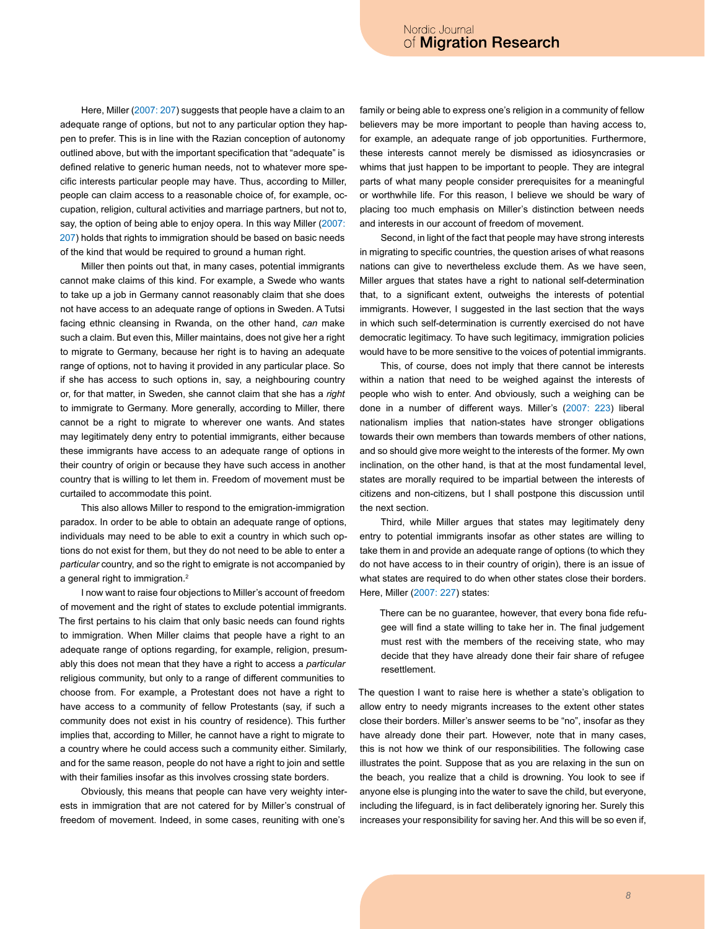Here, Miller ([2007: 207\)](#page-8-0) suggests that people have a claim to an adequate range of options, but not to any particular option they happen to prefer. This is in line with the Razian conception of autonomy outlined above, but with the important specification that "adequate" is defined relative to generic human needs, not to whatever more specific interests particular people may have. Thus, according to Miller, people can claim access to a reasonable choice of, for example, occupation, religion, cultural activities and marriage partners, but not to, say, the option of being able to enjoy opera. In this way Miller ([2007:](#page-8-0)  [207\)](#page-8-0) holds that rights to immigration should be based on basic needs of the kind that would be required to ground a human right.

Miller then points out that, in many cases, potential immigrants cannot make claims of this kind. For example, a Swede who wants to take up a job in Germany cannot reasonably claim that she does not have access to an adequate range of options in Sweden. A Tutsi facing ethnic cleansing in Rwanda, on the other hand, *can* make such a claim. But even this, Miller maintains, does not give her a right to migrate to Germany, because her right is to having an adequate range of options, not to having it provided in any particular place. So if she has access to such options in, say, a neighbouring country or, for that matter, in Sweden, she cannot claim that she has a *right* to immigrate to Germany. More generally, according to Miller, there cannot be a right to migrate to wherever one wants. And states may legitimately deny entry to potential immigrants, either because these immigrants have access to an adequate range of options in their country of origin or because they have such access in another country that is willing to let them in. Freedom of movement must be curtailed to accommodate this point.

This also allows Miller to respond to the emigration-immigration paradox. In order to be able to obtain an adequate range of options, individuals may need to be able to exit a country in which such options do not exist for them, but they do not need to be able to enter a *particular* country, and so the right to emigrate is not accompanied by a general right to immigration.<sup>[2](#page-7-0)</sup>

I now want to raise four objections to Miller's account of freedom of movement and the right of states to exclude potential immigrants. The first pertains to his claim that only basic needs can found rights to immigration. When Miller claims that people have a right to an adequate range of options regarding, for example, religion, presumably this does not mean that they have a right to access a *particular* religious community, but only to a range of different communities to choose from. For example, a Protestant does not have a right to have access to a community of fellow Protestants (say, if such a community does not exist in his country of residence). This further implies that, according to Miller, he cannot have a right to migrate to a country where he could access such a community either. Similarly, and for the same reason, people do not have a right to join and settle with their families insofar as this involves crossing state borders.

Obviously, this means that people can have very weighty interests in immigration that are not catered for by Miller's construal of freedom of movement. Indeed, in some cases, reuniting with one's

family or being able to express one's religion in a community of fellow believers may be more important to people than having access to, for example, an adequate range of job opportunities. Furthermore, these interests cannot merely be dismissed as idiosyncrasies or whims that just happen to be important to people. They are integral parts of what many people consider prerequisites for a meaningful or worthwhile life. For this reason, I believe we should be wary of placing too much emphasis on Miller's distinction between needs and interests in our account of freedom of movement.

Second, in light of the fact that people may have strong interests in migrating to specific countries, the question arises of what reasons nations can give to nevertheless exclude them. As we have seen, Miller argues that states have a right to national self-determination that, to a significant extent, outweighs the interests of potential immigrants. However, I suggested in the last section that the ways in which such self-determination is currently exercised do not have democratic legitimacy. To have such legitimacy, immigration policies would have to be more sensitive to the voices of potential immigrants.

This, of course, does not imply that there cannot be interests within a nation that need to be weighed against the interests of people who wish to enter. And obviously, such a weighing can be done in a number of different ways. Miller's [\(2007: 223\)](#page-8-0) liberal nationalism implies that nation-states have stronger obligations towards their own members than towards members of other nations, and so should give more weight to the interests of the former. My own inclination, on the other hand, is that at the most fundamental level, states are morally required to be impartial between the interests of citizens and non-citizens, but I shall postpone this discussion until the next section.

Third, while Miller argues that states may legitimately deny entry to potential immigrants insofar as other states are willing to take them in and provide an adequate range of options (to which they do not have access to in their country of origin), there is an issue of what states are required to do when other states close their borders. Here, Miller ([2007: 227](#page-8-0)) states:

There can be no guarantee, however, that every bona fide refugee will find a state willing to take her in. The final judgement must rest with the members of the receiving state, who may decide that they have already done their fair share of refugee resettlement.

The question I want to raise here is whether a state's obligation to allow entry to needy migrants increases to the extent other states close their borders. Miller's answer seems to be "no", insofar as they have already done their part. However, note that in many cases, this is not how we think of our responsibilities. The following case illustrates the point. Suppose that as you are relaxing in the sun on the beach, you realize that a child is drowning. You look to see if anyone else is plunging into the water to save the child, but everyone, including the lifeguard, is in fact deliberately ignoring her. Surely this increases your responsibility for saving her. And this will be so even if,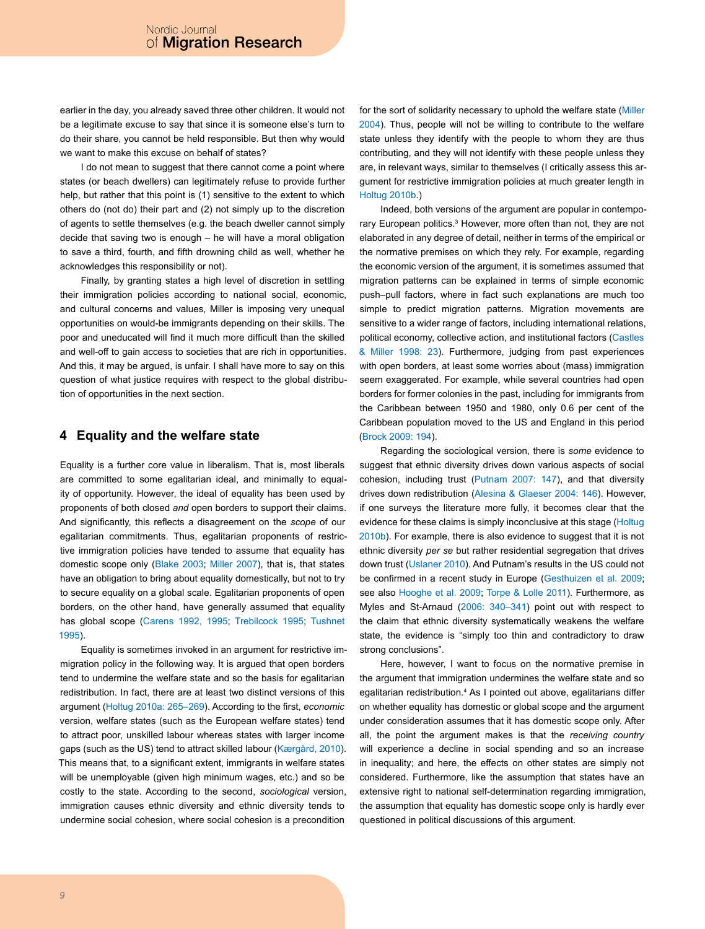earlier in the day, you already saved three other children. It would not be a legitimate excuse to say that since it is someone else's turn to do their share, you cannot be held responsible. But then why would we want to make this excuse on behalf of states?

I do not mean to suggest that there cannot come a point where states (or beach dwellers) can legitimately refuse to provide further help, but rather that this point is (1) sensitive to the extent to which others do (not do) their part and (2) not simply up to the discretion of agents to settle themselves (e.g. the beach dweller cannot simply decide that saving two is enough – he will have a moral obligation to save a third, fourth, and fifth drowning child as well, whether he acknowledges this responsibility or not).

Finally, by granting states a high level of discretion in settling their immigration policies according to national social, economic, and cultural concerns and values, Miller is imposing very unequal opportunities on would-be immigrants depending on their skills. The poor and uneducated will find it much more difficult than the skilled and well-off to gain access to societies that are rich in opportunities. And this, it may be argued, is unfair. I shall have more to say on this question of what justice requires with respect to the global distribution of opportunities in the next section.

## **4 Equality and the welfare state**

Equality is a further core value in liberalism. That is, most liberals are committed to some egalitarian ideal, and minimally to equality of opportunity. However, the ideal of equality has been used by proponents of both closed *and* open borders to support their claims. And significantly, this reflects a disagreement on the *scope* of our egalitarian commitments. Thus, egalitarian proponents of restrictive immigration policies have tended to assume that equality has domestic scope only ([Blake 2003](#page-8-7); [Miller 2007\)](#page-8-0), that is, that states have an obligation to bring about equality domestically, but not to try to secure equality on a global scale. Egalitarian proponents of open borders, on the other hand, have generally assumed that equality has global scope ([Carens 1992, 1995](#page-8-2); [Trebilcock 1995](#page-8-5); [Tushnet](#page-8-8)  [1995](#page-8-8)).

Equality is sometimes invoked in an argument for restrictive immigration policy in the following way. It is argued that open borders tend to undermine the welfare state and so the basis for egalitarian redistribution. In fact, there are at least two distinct versions of this argument [\(Holtug 2010a: 265–269\)](#page-8-6). According to the first, *economic* version, welfare states (such as the European welfare states) tend to attract poor, unskilled labour whereas states with larger income gaps (such as the US) tend to attract skilled labour [\(Kærgård, 2010\)](#page-8-9). This means that, to a significant extent, immigrants in welfare states will be unemployable (given high minimum wages, etc.) and so be costly to the state. According to the second, *sociological* version, immigration causes ethnic diversity and ethnic diversity tends to undermine social cohesion, where social cohesion is a precondition

for the sort of solidarity necessary to uphold the welfare state ([Miller](#page-8-0)  [2004](#page-8-0)). Thus, people will not be willing to contribute to the welfare state unless they identify with the people to whom they are thus contributing, and they will not identify with these people unless they are, in relevant ways, similar to themselves (I critically assess this argument for restrictive immigration policies at much greater length in [Holtug 2010b.](#page-8-6))

Indeed, both versions of the argument are popular in contempo-rary European politics.<sup>[3](#page-7-2)</sup> However, more often than not, they are not elaborated in any degree of detail, neither in terms of the empirical or the normative premises on which they rely. For example, regarding the economic version of the argument, it is sometimes assumed that migration patterns can be explained in terms of simple economic push–pull factors, where in fact such explanations are much too simple to predict migration patterns. Migration movements are sensitive to a wider range of factors, including international relations, political economy, collective action, and institutional factors ([Castles](#page-8-2)  [& Miller 1998: 23](#page-8-2)). Furthermore, judging from past experiences with open borders, at least some worries about (mass) immigration seem exaggerated. For example, while several countries had open borders for former colonies in the past, including for immigrants from the Caribbean between 1950 and 1980, only 0.6 per cent of the Caribbean population moved to the US and England in this period [\(Brock 2009:](#page-8-10) 194).

Regarding the sociological version, there is *some* evidence to suggest that ethnic diversity drives down various aspects of social cohesion, including trust ([Putnam 2007: 147\)](#page-8-11), and that diversity drives down redistribution [\(Alesina & Glaeser 2004: 146\)](#page-8-12). However, if one surveys the literature more fully, it becomes clear that the evidence for these claims is simply inconclusive at this stage [\(Holtug](#page-8-6)  [2010b\)](#page-8-6). For example, there is also evidence to suggest that it is not ethnic diversity *per se* but rather residential segregation that drives down trust [\(Uslaner 2010](#page-8-13)). And Putnam's results in the US could not be confirmed in a recent study in Europe ([Gesthuizen et al. 2009](#page-8-12); see also [Hooghe et al. 2009](#page-8-6); [Torpe & Lolle 2011](#page-8-14)). Furthermore, as Myles and St-Arnaud [\(2006: 340–341\)](#page-8-15) point out with respect to the claim that ethnic diversity systematically weakens the welfare state, the evidence is "simply too thin and contradictory to draw strong conclusions".

Here, however, I want to focus on the normative premise in the argument that immigration undermines the welfare state and so egalitarian redistribution.[4](#page-7-3) As I pointed out above, egalitarians differ on whether equality has domestic or global scope and the argument under consideration assumes that it has domestic scope only. After all, the point the argument makes is that the *receiving country* will experience a decline in social spending and so an increase in inequality; and here, the effects on other states are simply not considered. Furthermore, like the assumption that states have an extensive right to national self-determination regarding immigration, the assumption that equality has domestic scope only is hardly ever questioned in political discussions of this argument.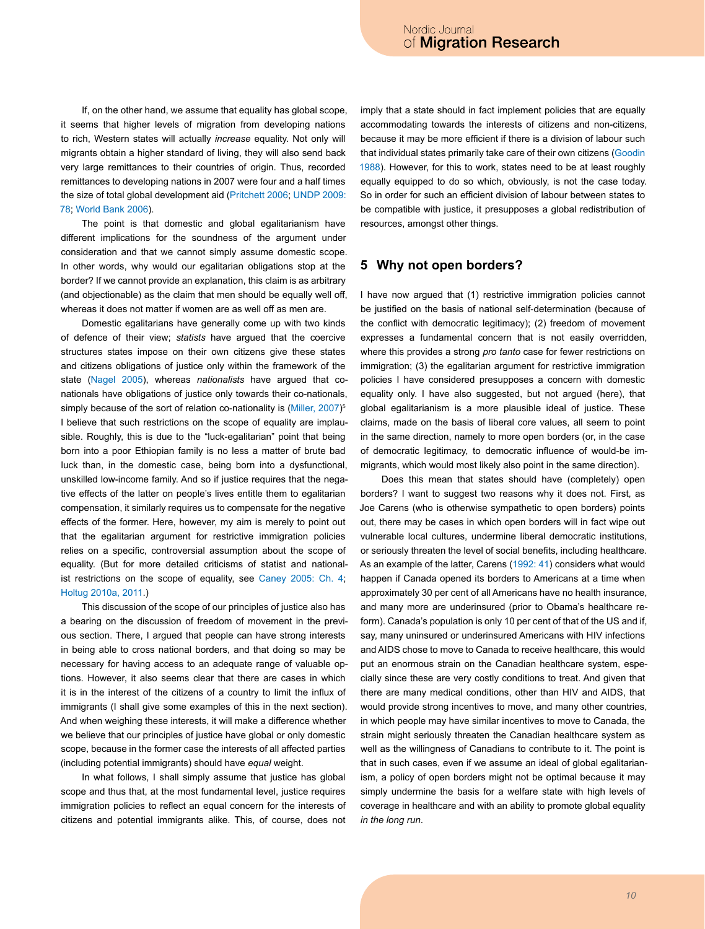If, on the other hand, we assume that equality has global scope, it seems that higher levels of migration from developing nations to rich, Western states will actually *increase* equality. Not only will migrants obtain a higher standard of living, they will also send back very large remittances to their countries of origin. Thus, recorded remittances to developing nations in 2007 were four and a half times the size of total global development aid [\(Pritchett 2006](#page-8-16); [UNDP 2009:](#page-8-17)  [78](#page-8-17); [World Bank 2006](#page-8-18)).

The point is that domestic and global egalitarianism have different implications for the soundness of the argument under consideration and that we cannot simply assume domestic scope. In other words, why would our egalitarian obligations stop at the border? If we cannot provide an explanation, this claim is as arbitrary (and objectionable) as the claim that men should be equally well off, whereas it does not matter if women are as well off as men are.

Domestic egalitarians have generally come up with two kinds of defence of their view; *statists* have argued that the coercive structures states impose on their own citizens give these states and citizens obligations of justice only within the framework of the state ([Nagel 2005\)](#page-8-19), whereas *nationalists* have argued that conationals have obligations of justice only towards their co-nationals, simply because of the sort of relation co-nationality is ([Miller, 2007\)](#page-8-0) [5](#page-7-4) I believe that such restrictions on the scope of equality are implausible. Roughly, this is due to the "luck-egalitarian" point that being born into a poor Ethiopian family is no less a matter of brute bad luck than, in the domestic case, being born into a dysfunctional, unskilled low-income family. And so if justice requires that the negative effects of the latter on people's lives entitle them to egalitarian compensation, it similarly requires us to compensate for the negative effects of the former. Here, however, my aim is merely to point out that the egalitarian argument for restrictive immigration policies relies on a specific, controversial assumption about the scope of equality. (But for more detailed criticisms of statist and nationalist restrictions on the scope of equality, see [Caney 2005: Ch. 4](#page-8-2); [Holtug 2010a, 2011.](#page-8-6))

This discussion of the scope of our principles of justice also has a bearing on the discussion of freedom of movement in the previous section. There, I argued that people can have strong interests in being able to cross national borders, and that doing so may be necessary for having access to an adequate range of valuable options. However, it also seems clear that there are cases in which it is in the interest of the citizens of a country to limit the influx of immigrants (I shall give some examples of this in the next section). And when weighing these interests, it will make a difference whether we believe that our principles of justice have global or only domestic scope, because in the former case the interests of all affected parties (including potential immigrants) should have *equal* weight.

In what follows, I shall simply assume that justice has global scope and thus that, at the most fundamental level, justice requires immigration policies to reflect an equal concern for the interests of citizens and potential immigrants alike. This, of course, does not imply that a state should in fact implement policies that are equally accommodating towards the interests of citizens and non-citizens, because it may be more efficient if there is a division of labour such that individual states primarily take care of their own citizens ([Goodin](#page-8-20) [1988](#page-8-20)). However, for this to work, states need to be at least roughly equally equipped to do so which, obviously, is not the case today. So in order for such an efficient division of labour between states to be compatible with justice, it presupposes a global redistribution of resources, amongst other things.

## **5 Why not open borders?**

I have now argued that (1) restrictive immigration policies cannot be justified on the basis of national self-determination (because of the conflict with democratic legitimacy); (2) freedom of movement expresses a fundamental concern that is not easily overridden, where this provides a strong *pro tanto* case for fewer restrictions on immigration; (3) the egalitarian argument for restrictive immigration policies I have considered presupposes a concern with domestic equality only. I have also suggested, but not argued (here), that global egalitarianism is a more plausible ideal of justice. These claims, made on the basis of liberal core values, all seem to point in the same direction, namely to more open borders (or, in the case of democratic legitimacy, to democratic influence of would-be immigrants, which would most likely also point in the same direction).

Does this mean that states should have (completely) open borders? I want to suggest two reasons why it does not. First, as Joe Carens (who is otherwise sympathetic to open borders) points out, there may be cases in which open borders will in fact wipe out vulnerable local cultures, undermine liberal democratic institutions, or seriously threaten the level of social benefits, including healthcare. As an example of the latter, Carens [\(1992: 41](#page-8-2)) considers what would happen if Canada opened its borders to Americans at a time when approximately 30 per cent of all Americans have no health insurance, and many more are underinsured (prior to Obama's healthcare reform). Canada's population is only 10 per cent of that of the US and if, say, many uninsured or underinsured Americans with HIV infections and AIDS chose to move to Canada to receive healthcare, this would put an enormous strain on the Canadian healthcare system, especially since these are very costly conditions to treat. And given that there are many medical conditions, other than HIV and AIDS, that would provide strong incentives to move, and many other countries, in which people may have similar incentives to move to Canada, the strain might seriously threaten the Canadian healthcare system as well as the willingness of Canadians to contribute to it. The point is that in such cases, even if we assume an ideal of global egalitarianism, a policy of open borders might not be optimal because it may simply undermine the basis for a welfare state with high levels of coverage in healthcare and with an ability to promote global equality *in the long run*.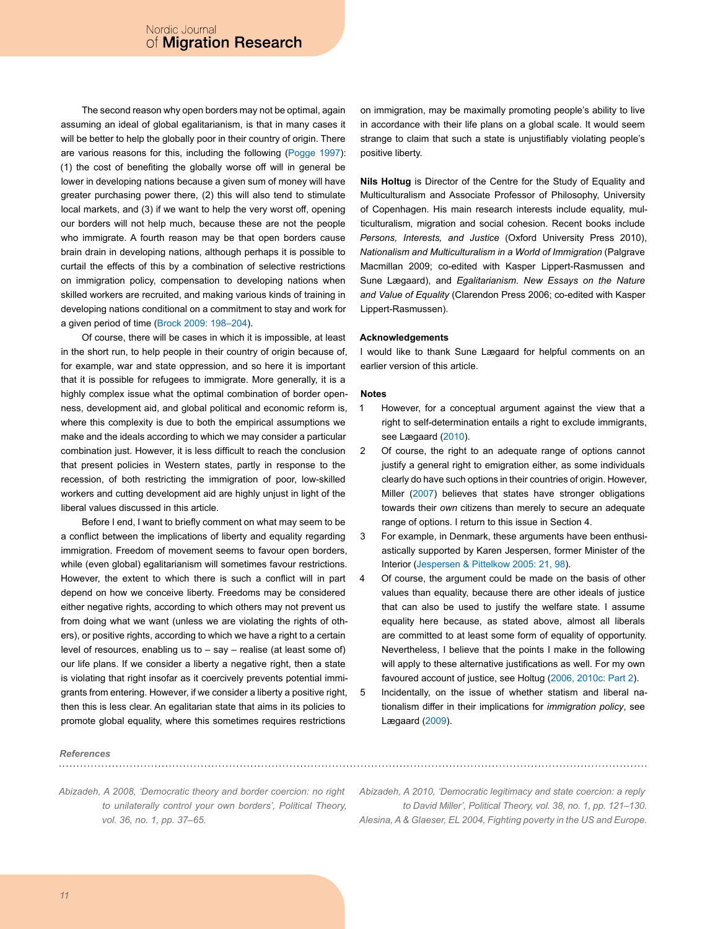The second reason why open borders may not be optimal, again assuming an ideal of global egalitarianism, is that in many cases it will be better to help the globally poor in their country of origin. There are various reasons for this, including the following [\(Pogge 1997\)](#page-8-23): (1) the cost of benefiting the globally worse off will in general be lower in developing nations because a given sum of money will have greater purchasing power there, (2) this will also tend to stimulate local markets, and (3) if we want to help the very worst off, opening our borders will not help much, because these are not the people who immigrate. A fourth reason may be that open borders cause brain drain in developing nations, although perhaps it is possible to curtail the effects of this by a combination of selective restrictions on immigration policy, compensation to developing nations when skilled workers are recruited, and making various kinds of training in developing nations conditional on a commitment to stay and work for a given period of time ([Brock 2009: 198–204\)](#page-8-10).

Of course, there will be cases in which it is impossible, at least in the short run, to help people in their country of origin because of, for example, war and state oppression, and so here it is important that it is possible for refugees to immigrate. More generally, it is a highly complex issue what the optimal combination of border openness, development aid, and global political and economic reform is, where this complexity is due to both the empirical assumptions we make and the ideals according to which we may consider a particular combination just. However, it is less difficult to reach the conclusion that present policies in Western states, partly in response to the recession, of both restricting the immigration of poor, low-skilled workers and cutting development aid are highly unjust in light of the liberal values discussed in this article.

Before I end, I want to briefly comment on what may seem to be a conflict between the implications of liberty and equality regarding immigration. Freedom of movement seems to favour open borders, while (even global) egalitarianism will sometimes favour restrictions. However, the extent to which there is such a conflict will in part depend on how we conceive liberty. Freedoms may be considered either negative rights, according to which others may not prevent us from doing what we want (unless we are violating the rights of others), or positive rights, according to which we have a right to a certain level of resources, enabling us to  $-$  say  $-$  realise (at least some of) our life plans. If we consider a liberty a negative right, then a state is violating that right insofar as it coercively prevents potential immigrants from entering. However, if we consider a liberty a positive right, then this is less clear. An egalitarian state that aims in its policies to promote global equality, where this sometimes requires restrictions

#### *References*

<span id="page-7-1"></span>*Abizadeh, A 2008, 'Democratic theory and border coercion: no right to unilaterally control your own borders', Political Theory, vol. 36, no. 1, pp. 37–65.*

on immigration, may be maximally promoting people's ability to live in accordance with their life plans on a global scale. It would seem strange to claim that such a state is unjustifiably violating people's positive liberty.

**Nils Holtug** is Director of the Centre for the Study of Equality and Multiculturalism and Associate Professor of Philosophy, University of Copenhagen. His main research interests include equality, multiculturalism, migration and social cohesion. Recent books include *Persons, Interests, and Justice* (Oxford University Press 2010), *Nationalism and Multiculturalism in a World of Immigration* (Palgrave Macmillan 2009; co-edited with Kasper Lippert-Rasmussen and Sune Lægaard), and *Egalitarianism. New Essays on the Nature and Value of Equality* (Clarendon Press 2006; co-edited with Kasper Lippert-Rasmussen).

### **Acknowledgements**

I would like to thank Sune Lægaard for helpful comments on an earlier version of this article.

#### **Notes**

- <span id="page-7-0"></span>1 However, for a conceptual argument against the view that a right to self-determination entails a right to exclude immigrants, see Lægaard ([2010](#page-8-21)).
- 2 Of course, the right to an adequate range of options cannot justify a general right to emigration either, as some individuals clearly do have such options in their countries of origin. However, Miller ([2007\)](#page-8-0) believes that states have stronger obligations towards their *own* citizens than merely to secure an adequate range of options. I return to this issue in Section 4.
- <span id="page-7-2"></span>3 For example, in Denmark, these arguments have been enthusiastically supported by Karen Jespersen, former Minister of the Interior [\(Jespersen & Pittelkow 2005: 21, 98\)](#page-8-22).
- <span id="page-7-3"></span>4 Of course, the argument could be made on the basis of other values than equality, because there are other ideals of justice that can also be used to justify the welfare state. I assume equality here because, as stated above, almost all liberals are committed to at least some form of equality of opportunity. Nevertheless, I believe that the points I make in the following will apply to these alternative justifications as well. For my own favoured account of justice, see Holtug [\(2006, 2010c: Part 2](#page-7-3)).
- <span id="page-7-4"></span>5 Incidentally, on the issue of whether statism and liberal nationalism differ in their implications for *immigration policy*, see Lægaard [\(2009](#page-8-21)).

*Abizadeh, A 2010, 'Democratic legitimacy and state coercion: a reply to David Miller', Political Theory, vol. 38, no. 1, pp. 121–130. Alesina, A & Glaeser, EL 2004, Fighting poverty in the US and Europe.*